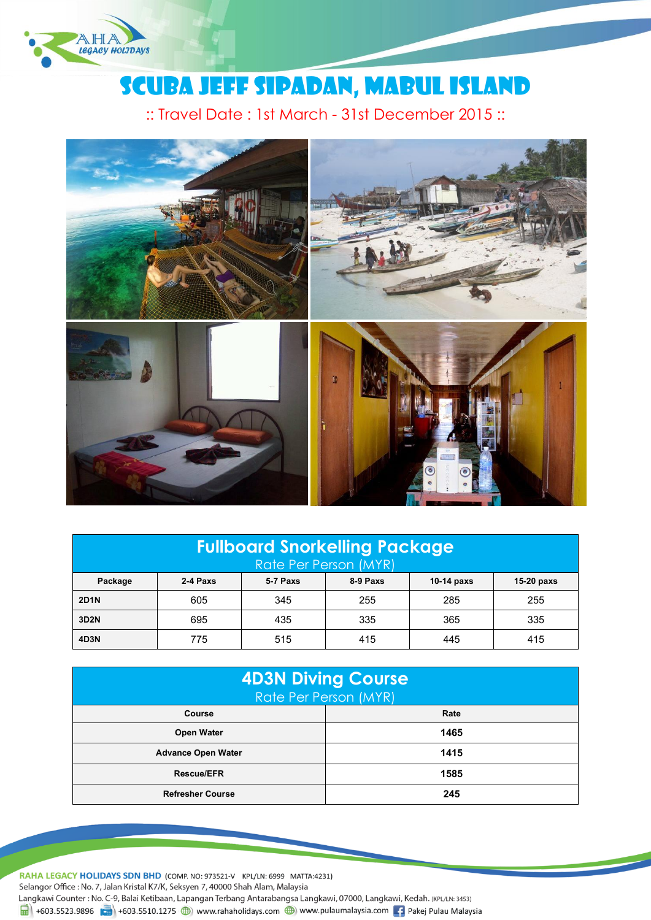

# Scuba Jeff Sipadan, Mabul Island

:: Travel Date : 1st March - 31st December 2015 ::



| <b>Fullboard Snorkelling Package</b><br>Rate Per Person (MYR) |          |          |          |            |              |
|---------------------------------------------------------------|----------|----------|----------|------------|--------------|
| Package                                                       | 2-4 Paxs | 5-7 Paxs | 8-9 Paxs | 10-14 paxs | $15-20$ paxs |
| <b>2D1N</b>                                                   | 605      | 345      | 255      | 285        | 255          |
| 3D2N                                                          | 695      | 435      | 335      | 365        | 335          |
| 4D3N                                                          | 775      | 515      | 415      | 445        | 415          |

| <b>4D3N Diving Course</b><br>Rate Per Person (MYR) |      |  |  |  |
|----------------------------------------------------|------|--|--|--|
| Course                                             | Rate |  |  |  |
| <b>Open Water</b>                                  | 1465 |  |  |  |
| <b>Advance Open Water</b>                          | 1415 |  |  |  |
| <b>Rescue/EFR</b>                                  | 1585 |  |  |  |
| <b>Refresher Course</b>                            | 245  |  |  |  |

RAHA LEGACY HOLIDAYS SDN BHD (COMP. NO: 973521-V KPL/LN: 6999 MATTA:4231) Selangor Office: No. 7, Jalan Kristal K7/K, Seksyen 7, 40000 Shah Alam, Malaysia Langkawi Counter: No. C-9, Balai Ketibaan, Lapangan Terbang Antarabangsa Langkawi, 07000, Langkawi, Kedah. (KPL/LN: 3453)  $\frac{1}{21}$  +603.5523.9896 +603.5510.1275 (b) www.rahaholidays.com (b) www.pulaumalaysia.com + Pakej Pulau Malaysia